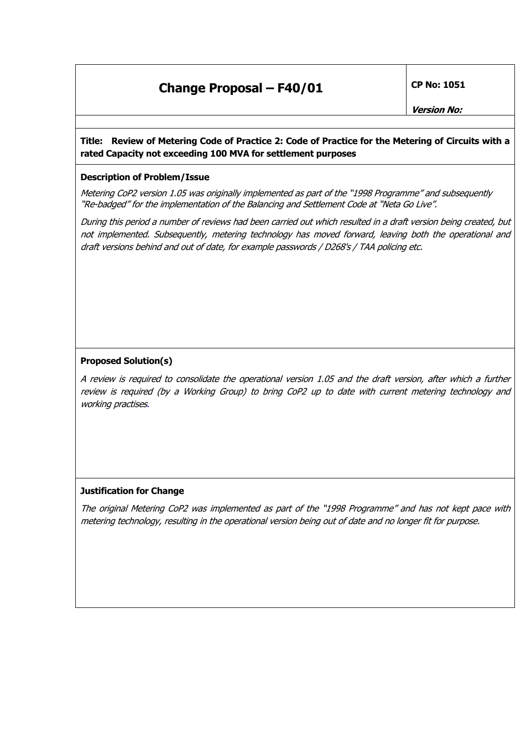## **Change Proposal – F40/01 CP No: 1051**

### **Title: Review of Metering Code of Practice 2: Code of Practice for the Metering of Circuits with a rated Capacity not exceeding 100 MVA for settlement purposes**

#### **Description of Problem/Issue**

Metering CoP2 version 1.05 was originally implemented as part of the "1998 Programme" and subsequently "Re-badged" for the implementation of the Balancing and Settlement Code at "Neta Go Live".

During this period a number of reviews had been carried out which resulted in a draft version being created, but not implemented. Subsequently, metering technology has moved forward, leaving both the operational and draft versions behind and out of date, for example passwords / D268's / TAA policing etc.

#### **Proposed Solution(s)**

A review is required to consolidate the operational version 1.05 and the draft version, after which a further review is required (by a Working Group) to bring CoP2 up to date with current metering technology and working practises.

#### **Justification for Change**

The original Metering CoP2 was implemented as part of the "1998 Programme" and has not kept pace with metering technology, resulting in the operational version being out of date and no longer fit for purpose.